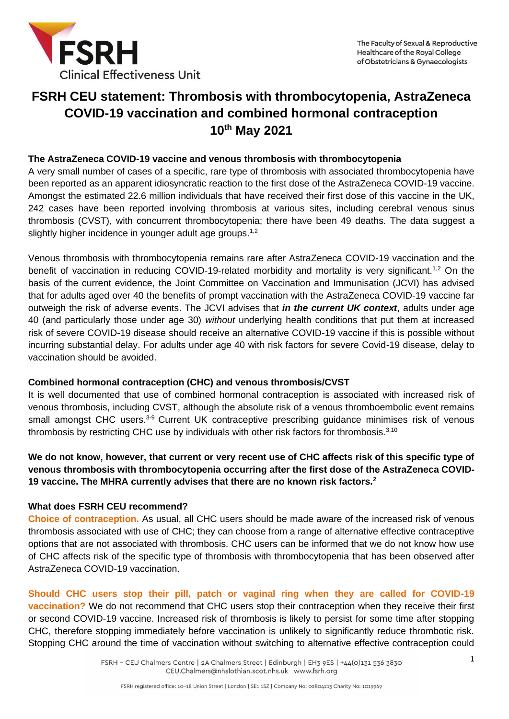

# **FSRH CEU statement: Thrombosis with thrombocytopenia, AstraZeneca COVID-19 vaccination and combined hormonal contraception 10th May 2021**

## **The AstraZeneca COVID-19 vaccine and venous thrombosis with thrombocytopenia**

A very small number of cases of a specific, rare type of thrombosis with associated thrombocytopenia have been reported as an apparent idiosyncratic reaction to the first dose of the AstraZeneca COVID-19 vaccine. Amongst the estimated 22.6 million individuals that have received their first dose of this vaccine in the UK, 242 cases have been reported involving thrombosis at various sites, including cerebral venous sinus thrombosis (CVST), with concurrent thrombocytopenia; there have been 49 deaths. The data suggest a slightly higher incidence in younger adult age groups.<sup>1,2</sup>

Venous thrombosis with thrombocytopenia remains rare after AstraZeneca COVID-19 vaccination and the benefit of vaccination in reducing COVID-19-related morbidity and mortality is very significant.<sup>1,2</sup> On the basis of the current evidence, the Joint Committee on Vaccination and Immunisation (JCVI) has advised that for adults aged over 40 the benefits of prompt vaccination with the AstraZeneca COVID-19 vaccine far outweigh the risk of adverse events. The JCVI advises that *in the current UK context*, adults under age 40 (and particularly those under age 30) *without* underlying health conditions that put them at increased risk of severe COVID-19 disease should receive an alternative COVID-19 vaccine if this is possible without incurring substantial delay. For adults under age 40 with risk factors for severe Covid-19 disease, delay to vaccination should be avoided.

#### **Combined hormonal contraception (CHC) and venous thrombosis/CVST**

It is well documented that use of combined hormonal contraception is associated with increased risk of venous thrombosis, including CVST, although the absolute risk of a venous thromboembolic event remains small amongst CHC users.<sup>3-9</sup> Current UK contraceptive prescribing guidance minimises risk of venous thrombosis by restricting CHC use by individuals with other risk factors for thrombosis.<sup>3,10</sup>

## **We do not know, however, that current or very recent use of CHC affects risk of this specific type of venous thrombosis with thrombocytopenia occurring after the first dose of the AstraZeneca COVID-19 vaccine. The MHRA currently advises that there are no known risk factors.<sup>2</sup>**

#### **What does FSRH CEU recommend?**

**Choice of contraception.** As usual, all CHC users should be made aware of the increased risk of venous thrombosis associated with use of CHC; they can choose from a range of alternative effective contraceptive options that are not associated with thrombosis. CHC users can be informed that we do not know how use of CHC affects risk of the specific type of thrombosis with thrombocytopenia that has been observed after AstraZeneca COVID-19 vaccination.

**Should CHC users stop their pill, patch or vaginal ring when they are called for COVID-19 vaccination?** We do not recommend that CHC users stop their contraception when they receive their first or second COVID-19 vaccine. Increased risk of thrombosis is likely to persist for some time after stopping CHC, therefore stopping immediately before vaccination is unlikely to significantly reduce thrombotic risk. Stopping CHC around the time of vaccination without switching to alternative effective contraception could